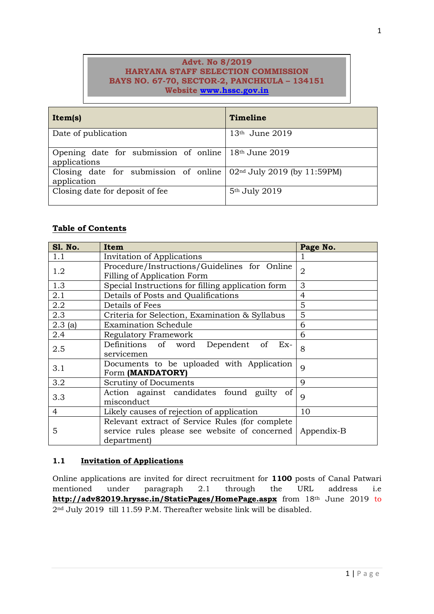## **Advt. No 8/2019 HARYANA STAFF SELECTION COMMISSION BAYS NO. 67-70, SECTOR-2, PANCHKULA – 134151 Website [www.hssc.gov.in](http://www.hssc.gov.in/)**

| Item(s)                                                                | Timeline                                |
|------------------------------------------------------------------------|-----------------------------------------|
| Date of publication                                                    | $13th$ June 2019                        |
| Opening date for submission of online $18th$ June 2019<br>applications |                                         |
| Closing date for submission of online<br>application                   | 02 <sup>nd</sup> July 2019 (by 11:59PM) |
| Closing date for deposit of fee.                                       | 5 <sup>th</sup> July 2019               |

# **Table of Contents**

| <b>S1. No.</b>                                      | Item                                              | Page No.       |  |
|-----------------------------------------------------|---------------------------------------------------|----------------|--|
| 1.1                                                 | Invitation of Applications                        | 1              |  |
| Procedure/Instructions/Guidelines for Online<br>1.2 |                                                   | $\overline{2}$ |  |
|                                                     | Filling of Application Form                       |                |  |
| 1.3                                                 | Special Instructions for filling application form | 3              |  |
| 2.1                                                 | Details of Posts and Qualifications               | $\overline{4}$ |  |
| 2.2                                                 | Details of Fees                                   | 5              |  |
| 2.3                                                 | Criteria for Selection, Examination & Syllabus    | 5              |  |
| 2.3(a)                                              | <b>Examination Schedule</b>                       | 6              |  |
| 2.4                                                 | Regulatory Framework                              | 6              |  |
| 2.5                                                 | Definitions of word Dependent<br>- of<br>$Ex-$    | 8              |  |
|                                                     | servicemen                                        |                |  |
| Documents to be uploaded with Application<br>3.1    |                                                   | $\overline{Q}$ |  |
|                                                     | Form (MANDATORY)                                  |                |  |
| 3.2                                                 | Scrutiny of Documents                             | $\mathbf Q$    |  |
| 3.3                                                 | Action against candidates found guilty of         | $\mathbf Q$    |  |
|                                                     | misconduct                                        |                |  |
| 4                                                   | Likely causes of rejection of application         | 10             |  |
|                                                     | Relevant extract of Service Rules (for complete)  |                |  |
| 5                                                   | service rules please see website of concerned     | Appendix-B     |  |
|                                                     | department)                                       |                |  |

# **1.1 Invitation of Applications**

Online applications are invited for direct recruitment for **1100** posts of Canal Patwari mentioned under paragraph 2.1 through the URL address i.e **http://adv82019.hryssc.in/StaticPages/HomePage.aspx** from 18th June 2019 to 2nd July 2019 till 11.59 P.M. Thereafter website link will be disabled.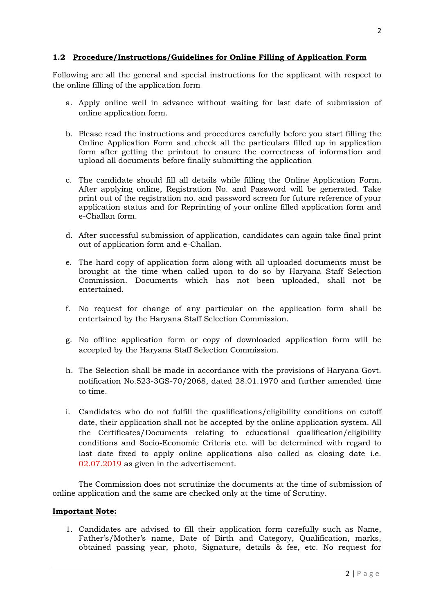## **1.2 Procedure/Instructions/Guidelines for Online Filling of Application Form**

Following are all the general and special instructions for the applicant with respect to the online filling of the application form

- a. Apply online well in advance without waiting for last date of submission of online application form.
- b. Please read the instructions and procedures carefully before you start filling the Online Application Form and check all the particulars filled up in application form after getting the printout to ensure the correctness of information and upload all documents before finally submitting the application
- c. The candidate should fill all details while filling the Online Application Form. After applying online, Registration No. and Password will be generated. Take print out of the registration no. and password screen for future reference of your application status and for Reprinting of your online filled application form and e-Challan form.
- d. After successful submission of application, candidates can again take final print out of application form and e-Challan.
- e. The hard copy of application form along with all uploaded documents must be brought at the time when called upon to do so by Haryana Staff Selection Commission. Documents which has not been uploaded, shall not be entertained.
- f. No request for change of any particular on the application form shall be entertained by the Haryana Staff Selection Commission.
- g. No offline application form or copy of downloaded application form will be accepted by the Haryana Staff Selection Commission.
- h. The Selection shall be made in accordance with the provisions of Haryana Govt. notification No.523-3GS-70/2068, dated 28.01.1970 and further amended time to time.
- i. Candidates who do not fulfill the qualifications/eligibility conditions on cutoff date, their application shall not be accepted by the online application system. All the Certificates/Documents relating to educational qualification/eligibility conditions and Socio-Economic Criteria etc. will be determined with regard to last date fixed to apply online applications also called as closing date i.e. 02.07.2019 as given in the advertisement.

The Commission does not scrutinize the documents at the time of submission of online application and the same are checked only at the time of Scrutiny.

### **Important Note:**

1. Candidates are advised to fill their application form carefully such as Name, Father's/Mother's name, Date of Birth and Category, Qualification, marks, obtained passing year, photo, Signature, details & fee, etc. No request for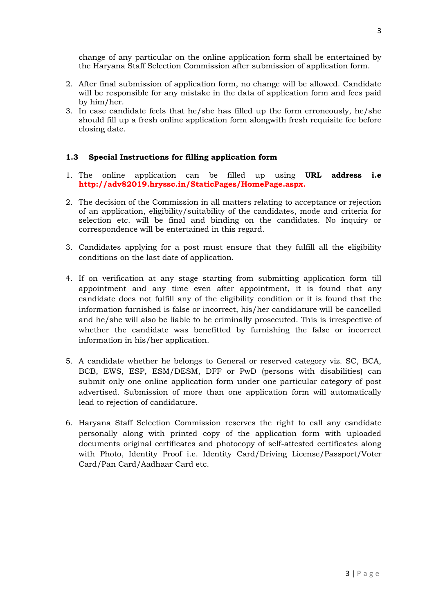change of any particular on the online application form shall be entertained by the Haryana Staff Selection Commission after submission of application form.

- 2. After final submission of application form, no change will be allowed. Candidate will be responsible for any mistake in the data of application form and fees paid by him/her.
- 3. In case candidate feels that he/she has filled up the form erroneously, he/she should fill up a fresh online application form alongwith fresh requisite fee before closing date.

## **1.3 Special Instructions for filling application form**

- 1. The online application can be filled up using **URL address i.e http://adv82019.hryssc.in/StaticPages/HomePage.aspx.**
- 2. The decision of the Commission in all matters relating to acceptance or rejection of an application, eligibility/suitability of the candidates, mode and criteria for selection etc. will be final and binding on the candidates. No inquiry or correspondence will be entertained in this regard.
- 3. Candidates applying for a post must ensure that they fulfill all the eligibility conditions on the last date of application.
- 4. If on verification at any stage starting from submitting application form till appointment and any time even after appointment, it is found that any candidate does not fulfill any of the eligibility condition or it is found that the information furnished is false or incorrect, his/her candidature will be cancelled and he/she will also be liable to be criminally prosecuted. This is irrespective of whether the candidate was benefitted by furnishing the false or incorrect information in his/her application.
- 5. A candidate whether he belongs to General or reserved category viz. SC, BCA, BCB, EWS, ESP, ESM/DESM, DFF or PwD (persons with disabilities) can submit only one online application form under one particular category of post advertised. Submission of more than one application form will automatically lead to rejection of candidature.
- 6. Haryana Staff Selection Commission reserves the right to call any candidate personally along with printed copy of the application form with uploaded documents original certificates and photocopy of self-attested certificates along with Photo, Identity Proof i.e. Identity Card/Driving License/Passport/Voter Card/Pan Card/Aadhaar Card etc.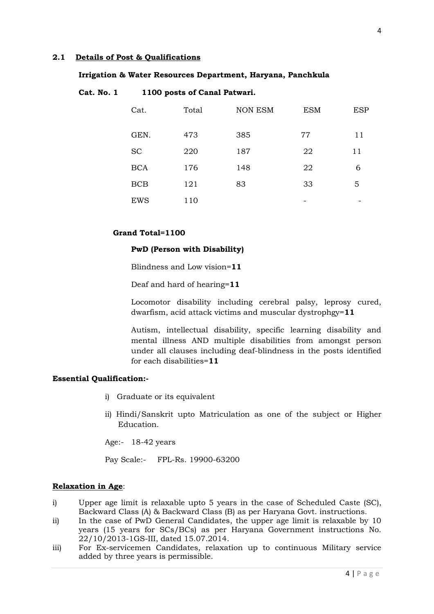### **2.1 Details of Post & Qualifications**

#### **Irrigation & Water Resources Department, Haryana, Panchkula**

### **Cat. No. 1 1100 posts of Canal Patwari.**

| Cat.       | Total | <b>NON ESM</b> | <b>ESM</b> | <b>ESP</b> |
|------------|-------|----------------|------------|------------|
| GEN.       | 473   | 385            | 77         | 11         |
| <b>SC</b>  | 220   | 187            | 22         | 11         |
| <b>BCA</b> | 176   | 148            | 22         | 6          |
| <b>BCB</b> | 121   | 83             | 33         | 5          |
| <b>EWS</b> | 110   |                |            |            |

### **Grand Total=1100**

### **PwD (Person with Disability)**

Blindness and Low vision=**11**

Deaf and hard of hearing=**11**

Locomotor disability including cerebral palsy, leprosy cured, dwarfism, acid attack victims and muscular dystrophgy=**11**

Autism, intellectual disability, specific learning disability and mental illness AND multiple disabilities from amongst person under all clauses including deaf-blindness in the posts identified for each disabilities=**11**

### **Essential Qualification:-**

- i) Graduate or its equivalent
- ii) Hindi/Sanskrit upto Matriculation as one of the subject or Higher Education.

Age:- 18-42 years

Pay Scale:- FPL-Rs. 19900-63200

### **Relaxation in Age**:

- i) Upper age limit is relaxable upto 5 years in the case of Scheduled Caste (SC), Backward Class (A) & Backward Class (B) as per Haryana Govt. instructions.
- ii) In the case of PwD General Candidates, the upper age limit is relaxable by 10 years (15 years for SCs/BCs) as per Haryana Government instructions No. 22/10/2013-1GS-III, dated 15.07.2014.
- iii) For Ex-servicemen Candidates, relaxation up to continuous Military service added by three years is permissible.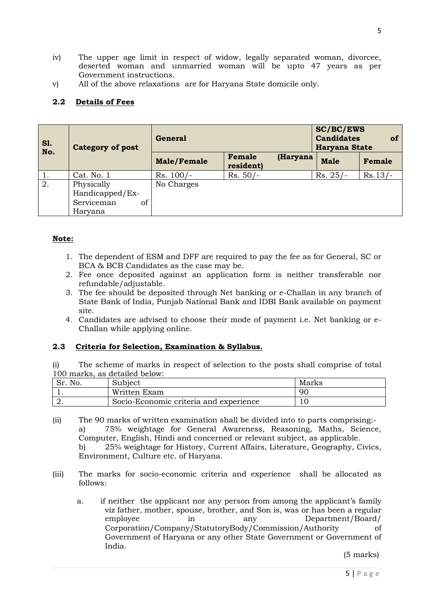- iv) The upper age limit in respect of widow, legally separated woman, divorcee, deserted woman and unmarried woman will be upto 47 years as per Government instructions.
- v) All of the above relaxations are for Haryana State domicile only.

# **2.2 Details of Fees**

| <b>S1.</b><br>No. | General<br><b>Category of post</b> |                    |                                 | <b>SC/BC/EWS</b><br>of<br><b>Candidates</b><br>Haryana State |           |
|-------------------|------------------------------------|--------------------|---------------------------------|--------------------------------------------------------------|-----------|
|                   |                                    | <b>Male/Female</b> | Female<br>(Haryana<br>resident) | <b>Male</b>                                                  | Female    |
|                   | Cat. No. 1                         | $Rs. 100/-$        | $Rs. 50/-$                      | $Rs. 25/-$                                                   | $Rs.13/-$ |
| 2.                | Physically                         | No Charges         |                                 |                                                              |           |
|                   | Handicapped/Ex-                    |                    |                                 |                                                              |           |
|                   | Serviceman<br>οf                   |                    |                                 |                                                              |           |
|                   | Haryana                            |                    |                                 |                                                              |           |

## **Note:**

- 1. The dependent of ESM and DFF are required to pay the fee as for General, SC or BCA & BCB Candidates as the case may be.
- 2. Fee once deposited against an application form is neither transferable nor refundable/adjustable.
- 3. The fee should be deposited through Net banking or e-Challan in any branch of State Bank of India, Punjab National Bank and IDBI Bank available on payment site.
- 4. Candidates are advised to choose their mode of payment i.e. Net banking or e-Challan while applying online.

## **2.3 Criteria for Selection, Examination & Syllabus.**

(i) The scheme of marks in respect of selection to the posts shall comprise of total 100 marks, as detailed below:

| No.<br>c.,<br>ЭF. | Subject                                | Marks |
|-------------------|----------------------------------------|-------|
|                   | Written Exam                           | 90    |
| <u>L.</u>         | Socio-Economic criteria and experience |       |

- (ii) The 90 marks of written examination shall be divided into to parts comprising: a) 75% weightage for General Awareness, Reasoning, Maths, Science, Computer, English, Hindi and concerned or relevant subject, as applicable. b) 25% weightage for History, Current Affairs, Literature, Geography, Civics, Environment, Culture etc. of Haryana.
- (iii) The marks for socio-economic criteria and experience shall be allocated as follows:
	- a. if neither the applicant nor any person from among the applicant's family viz father, mother, spouse, brother, and Son is, was or has been a regular employee in any Department/Board/ Corporation/Company/StatutoryBody/Commission/Authority of Government of Haryana or any other State Government or Government of India.

(5 marks)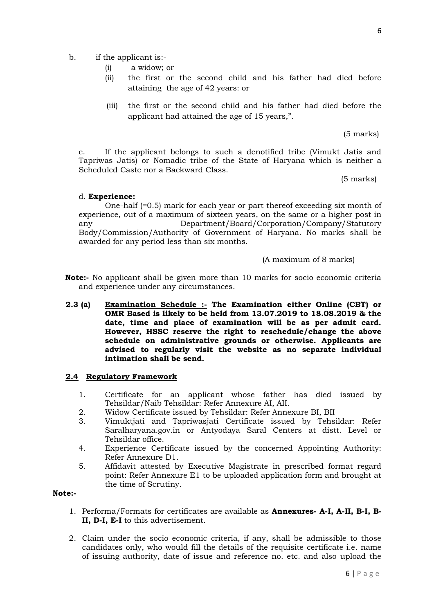- b. if the applicant is:-
	- (i) a widow; or
	- (ii) the first or the second child and his father had died before attaining the age of 42 years: or
	- (iii) the first or the second child and his father had died before the applicant had attained the age of 15 years,".

(5 marks)

c. If the applicant belongs to such a denotified tribe (Vimukt Jatis and Tapriwas Jatis) or Nomadic tribe of the State of Haryana which is neither a Scheduled Caste nor a Backward Class.

(5 marks)

## d. **Experience:**

One-half (=0.5) mark for each year or part thereof exceeding six month of experience, out of a maximum of sixteen years, on the same or a higher post in any Department/Board/Corporation/Company/Statutory Body/Commission/Authority of Government of Haryana. No marks shall be awarded for any period less than six months.

(A maximum of 8 marks)

- **Note:-** No applicant shall be given more than 10 marks for socio economic criteria and experience under any circumstances.
- **2.3 (a) Examination Schedule :- The Examination either Online (CBT) or OMR Based is likely to be held from 13.07.2019 to 18.08.2019 & the date, time and place of examination will be as per admit card. However, HSSC reserve the right to reschedule/change the above schedule on administrative grounds or otherwise. Applicants are advised to regularly visit the website as no separate individual intimation shall be send.**

## **2.4 Regulatory Framework**

- 1. Certificate for an applicant whose father has died issued by Tehsildar/Naib Tehsildar: Refer Annexure AI, AII.
- 2. Widow Certificate issued by Tehsildar: Refer Annexure BI, BII
- 3. Vimuktjati and Tapriwasjati Certificate issued by Tehsildar: Refer Saralharyana.gov.in or Antyodaya Saral Centers at distt. Level or Tehsildar office.
- 4. Experience Certificate issued by the concerned Appointing Authority: Refer Annexure D1.
- 5. Affidavit attested by Executive Magistrate in prescribed format regard point: Refer Annexure E1 to be uploaded application form and brought at the time of Scrutiny.

## **Note:-**

- 1. Performa/Formats for certificates are available as **Annexures- A-I, A-II, B-I, B-II, D-I, E-I** to this advertisement.
- 2. Claim under the socio economic criteria, if any, shall be admissible to those candidates only, who would fill the details of the requisite certificate i.e. name of issuing authority, date of issue and reference no. etc. and also upload the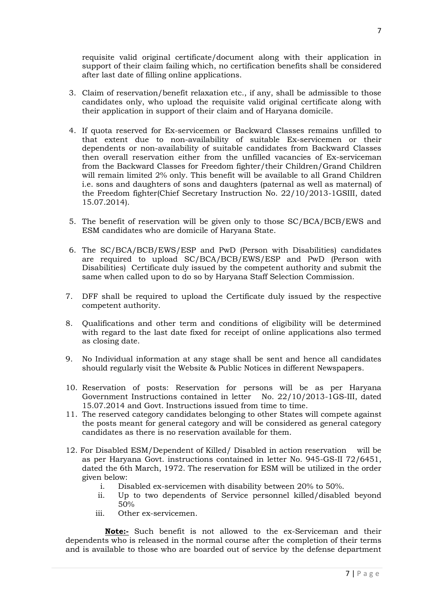requisite valid original certificate/document along with their application in support of their claim failing which, no certification benefits shall be considered after last date of filling online applications.

- 3. Claim of reservation/benefit relaxation etc., if any, shall be admissible to those candidates only, who upload the requisite valid original certificate along with their application in support of their claim and of Haryana domicile.
- 4. If quota reserved for Ex-servicemen or Backward Classes remains unfilled to that extent due to non-availability of suitable Ex-servicemen or their dependents or non-availability of suitable candidates from Backward Classes then overall reservation either from the unfilled vacancies of Ex-serviceman from the Backward Classes for Freedom fighter/their Children/Grand Children will remain limited 2% only. This benefit will be available to all Grand Children i.e. sons and daughters of sons and daughters (paternal as well as maternal) of the Freedom fighter(Chief Secretary Instruction No. 22/10/2013-1GSIII, dated 15.07.2014).
- 5. The benefit of reservation will be given only to those SC/BCA/BCB/EWS and ESM candidates who are domicile of Haryana State.
- 6. The SC/BCA/BCB/EWS/ESP and PwD (Person with Disabilities) candidates are required to upload SC/BCA/BCB/EWS/ESP and PwD (Person with Disabilities) Certificate duly issued by the competent authority and submit the same when called upon to do so by Haryana Staff Selection Commission.
- 7. DFF shall be required to upload the Certificate duly issued by the respective competent authority.
- 8. Qualifications and other term and conditions of eligibility will be determined with regard to the last date fixed for receipt of online applications also termed as closing date.
- 9. No Individual information at any stage shall be sent and hence all candidates should regularly visit the Website & Public Notices in different Newspapers.
- 10. Reservation of posts: Reservation for persons will be as per Haryana Government Instructions contained in letter No. 22/10/2013-1GS-III, dated 15.07.2014 and Govt. Instructions issued from time to time.
- 11. The reserved category candidates belonging to other States will compete against the posts meant for general category and will be considered as general category candidates as there is no reservation available for them.
- 12. For Disabled ESM/Dependent of Killed/ Disabled in action reservation will be as per Haryana Govt. instructions contained in letter No. 945-GS-II 72/6451, dated the 6th March, 1972. The reservation for ESM will be utilized in the order given below:
	- i. Disabled ex-servicemen with disability between 20% to 50%.
	- ii. Up to two dependents of Service personnel killed/disabled beyond 50%
	- iii. Other ex-servicemen.

**Note:-** Such benefit is not allowed to the ex-Serviceman and their dependents who is released in the normal course after the completion of their terms and is available to those who are boarded out of service by the defense department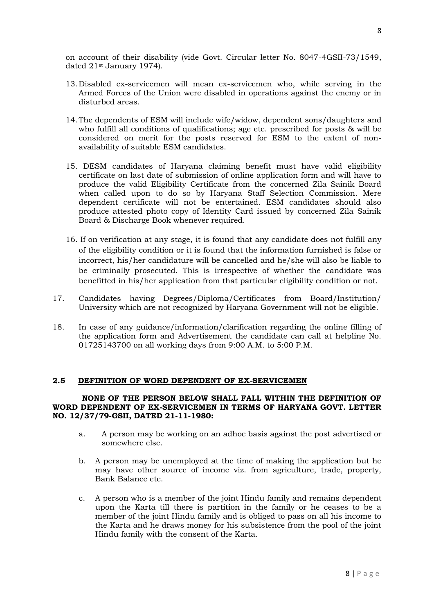on account of their disability (vide Govt. Circular letter No. 8047-4GSII-73/1549, dated 21st January 1974).

- 13. Disabled ex-servicemen will mean ex-servicemen who, while serving in the Armed Forces of the Union were disabled in operations against the enemy or in disturbed areas.
- 14.The dependents of ESM will include wife/widow, dependent sons/daughters and who fulfill all conditions of qualifications; age etc. prescribed for posts & will be considered on merit for the posts reserved for ESM to the extent of nonavailability of suitable ESM candidates.
- 15. DESM candidates of Haryana claiming benefit must have valid eligibility certificate on last date of submission of online application form and will have to produce the valid Eligibility Certificate from the concerned Zila Sainik Board when called upon to do so by Haryana Staff Selection Commission. Mere dependent certificate will not be entertained. ESM candidates should also produce attested photo copy of Identity Card issued by concerned Zila Sainik Board & Discharge Book whenever required.
- 16. If on verification at any stage, it is found that any candidate does not fulfill any of the eligibility condition or it is found that the information furnished is false or incorrect, his/her candidature will be cancelled and he/she will also be liable to be criminally prosecuted. This is irrespective of whether the candidate was benefitted in his/her application from that particular eligibility condition or not.
- 17. Candidates having Degrees/Diploma/Certificates from Board/Institution/ University which are not recognized by Haryana Government will not be eligible.
- 18. In case of any guidance/information/clarification regarding the online filling of the application form and Advertisement the candidate can call at helpline No. 01725143700 on all working days from 9:00 A.M. to 5:00 P.M.

### **2.5 DEFINITION OF WORD DEPENDENT OF EX-SERVICEMEN**

### **NONE OF THE PERSON BELOW SHALL FALL WITHIN THE DEFINITION OF WORD DEPENDENT OF EX-SERVICEMEN IN TERMS OF HARYANA GOVT. LETTER NO. 12/37/79-GSII, DATED 21-11-1980:**

- a. A person may be working on an adhoc basis against the post advertised or somewhere else.
- b. A person may be unemployed at the time of making the application but he may have other source of income viz. from agriculture, trade, property, Bank Balance etc.
- c. A person who is a member of the joint Hindu family and remains dependent upon the Karta till there is partition in the family or he ceases to be a member of the joint Hindu family and is obliged to pass on all his income to the Karta and he draws money for his subsistence from the pool of the joint Hindu family with the consent of the Karta.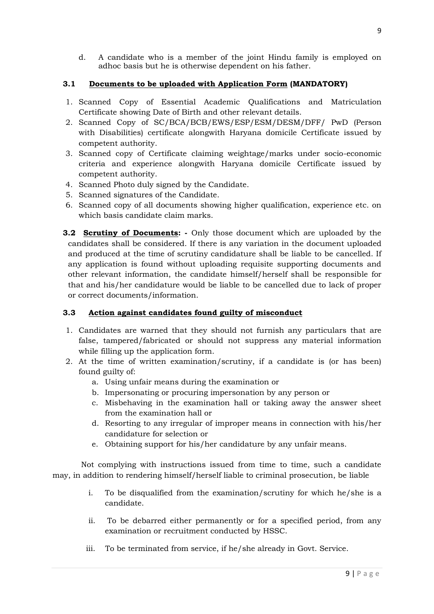d. A candidate who is a member of the joint Hindu family is employed on adhoc basis but he is otherwise dependent on his father.

## **3.1 Documents to be uploaded with Application Form (MANDATORY)**

- 1. Scanned Copy of Essential Academic Qualifications and Matriculation Certificate showing Date of Birth and other relevant details.
- 2. Scanned Copy of SC/BCA/BCB/EWS/ESP/ESM/DESM/DFF/ PwD (Person with Disabilities) certificate alongwith Haryana domicile Certificate issued by competent authority.
- 3. Scanned copy of Certificate claiming weightage/marks under socio-economic criteria and experience alongwith Haryana domicile Certificate issued by competent authority.
- 4. Scanned Photo duly signed by the Candidate.
- 5. Scanned signatures of the Candidate.
- 6. Scanned copy of all documents showing higher qualification, experience etc. on which basis candidate claim marks.
- **3.2 Scrutiny of Documents: -** Only those document which are uploaded by the candidates shall be considered. If there is any variation in the document uploaded and produced at the time of scrutiny candidature shall be liable to be cancelled. If any application is found without uploading requisite supporting documents and other relevant information, the candidate himself/herself shall be responsible for that and his/her candidature would be liable to be cancelled due to lack of proper or correct documents/information.

# **3.3 Action against candidates found guilty of misconduct**

- 1. Candidates are warned that they should not furnish any particulars that are false, tampered/fabricated or should not suppress any material information while filling up the application form.
- 2. At the time of written examination/scrutiny, if a candidate is (or has been) found guilty of:
	- a. Using unfair means during the examination or
	- b. Impersonating or procuring impersonation by any person or
	- c. Misbehaving in the examination hall or taking away the answer sheet from the examination hall or
	- d. Resorting to any irregular of improper means in connection with his/her candidature for selection or
	- e. Obtaining support for his/her candidature by any unfair means.

Not complying with instructions issued from time to time, such a candidate may, in addition to rendering himself/herself liable to criminal prosecution, be liable

- i. To be disqualified from the examination/scrutiny for which he/she is a candidate.
- ii. To be debarred either permanently or for a specified period, from any examination or recruitment conducted by HSSC.
- iii. To be terminated from service, if he/she already in Govt. Service.